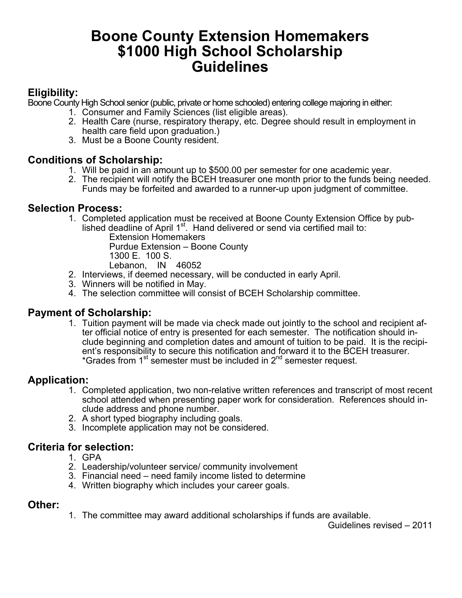## **Boone County Extension Homemakers \$1000 High School Scholarship Guidelines**

### **Eligibility:**

Boone County High School senior (public, private or home schooled) entering college majoring in either:

- 1. Consumer and Family Sciences (list eligible areas).
- 2. Health Care (nurse, respiratory therapy, etc. Degree should result in employment in health care field upon graduation.)
- 3. Must be a Boone County resident.

#### **Conditions of Scholarship:**

- 1. Will be paid in an amount up to \$500.00 per semester for one academic year.
- 2. The recipient will notify the BCEH treasurer one month prior to the funds being needed. Funds may be forfeited and awarded to a runner-up upon judgment of committee.

#### **Selection Process:**

1. Completed application must be received at Boone County Extension Office by published deadline of April 1st. Hand delivered or send via certified mail to:

**Extension Homemakers**  Purdue Extension – Boone County 1300 E. 100 S. Lebanon, IN 46052

- 2. Interviews, if deemed necessary, will be conducted in early April.
- 3. Winners will be notified in May.
- 4. The selection committee will consist of BCEH Scholarship committee.

#### **Payment of Scholarship:**

1. Tuition payment will be made via check made out jointly to the school and recipient after official notice of entry is presented for each semester. The notification should include beginning and completion dates and amount of tuition to be paid. It is the recipient's responsibility to secure this notification and forward it to the BCEH treasurer. \*Grades from 1<sup>st</sup> semester must be included in 2<sup>nd</sup> semester request.

#### **Application:**

- 1. Completed application, two non-relative written references and transcript of most recent school attended when presenting paper work for consideration. References should include address and phone number.
- 2. A short typed biography including goals.
- 3. Incomplete application may not be considered.

#### **Criteria for selection:**

- 1. GPA
- 2. Leadership/volunteer service/ community involvement
- 3. Financial need need family income listed to determine
- 4. Written biography which includes your career goals.

#### **Other:**

1. The committee may award additional scholarships if funds are available.

Guidelines revised – 2011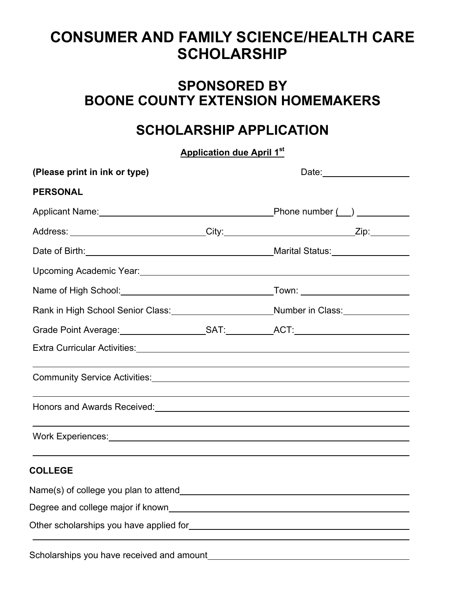# **CONSUMER AND FAMILY SCIENCE/HEALTH CARE SCHOLARSHIP**

### **SPONSORED BY BOONE COUNTY EXTENSION HOMEMAKERS**

## **SCHOLARSHIP APPLICATION**

**Application due April 1st**

| (Please print in ink or type) |                                                                                  |
|-------------------------------|----------------------------------------------------------------------------------|
| <b>PERSONAL</b>               |                                                                                  |
|                               |                                                                                  |
|                               | Address: ___________________________City:___________________________Zip:________ |
|                               | _Marital Status:__________________                                               |
|                               |                                                                                  |
|                               |                                                                                  |
|                               | Rank in High School Senior Class:_____________________Number in Class:__________ |
|                               |                                                                                  |
|                               |                                                                                  |
|                               |                                                                                  |
|                               |                                                                                  |
|                               |                                                                                  |
| <b>COLLEGE</b>                |                                                                                  |
|                               |                                                                                  |
|                               |                                                                                  |
|                               |                                                                                  |
|                               |                                                                                  |